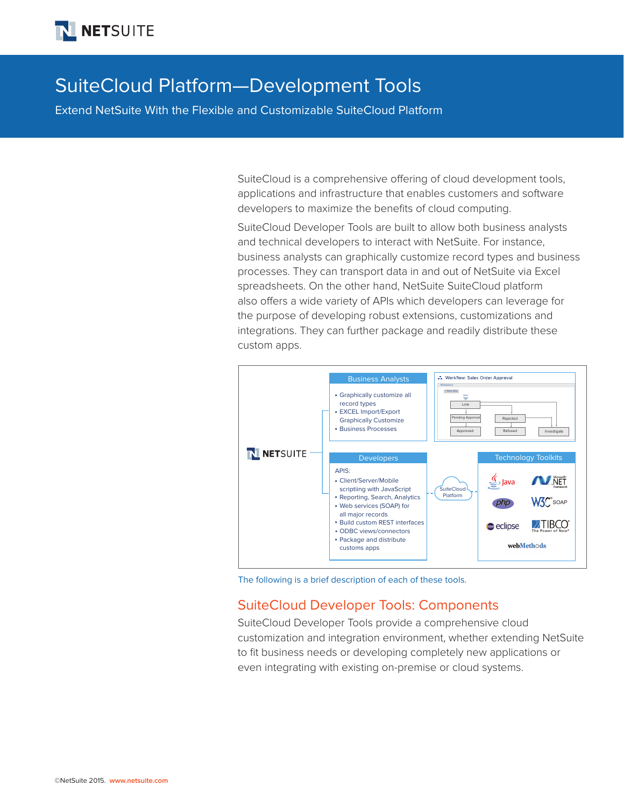# SuiteCloud Platform—Development Tools

Extend NetSuite With the Flexible and Customizable SuiteCloud Platform

SuiteCloud is a comprehensive offering of cloud development tools, applications and infrastructure that enables customers and software developers to maximize the benefits of cloud computing.

SuiteCloud Developer Tools are built to allow both business analysts and technical developers to interact with NetSuite. For instance, business analysts can graphically customize record types and business processes. They can transport data in and out of NetSuite via Excel spreadsheets. On the other hand, NetSuite SuiteCloud platform also offers a wide variety of APIs which developers can leverage for the purpose of developing robust extensions, customizations and integrations. They can further package and readily distribute these custom apps.



The following is a brief description of each of these tools.

# SuiteCloud Developer Tools: Components

SuiteCloud Developer Tools provide a comprehensive cloud customization and integration environment, whether extending NetSuite to fit business needs or developing completely new applications or even integrating with existing on-premise or cloud systems.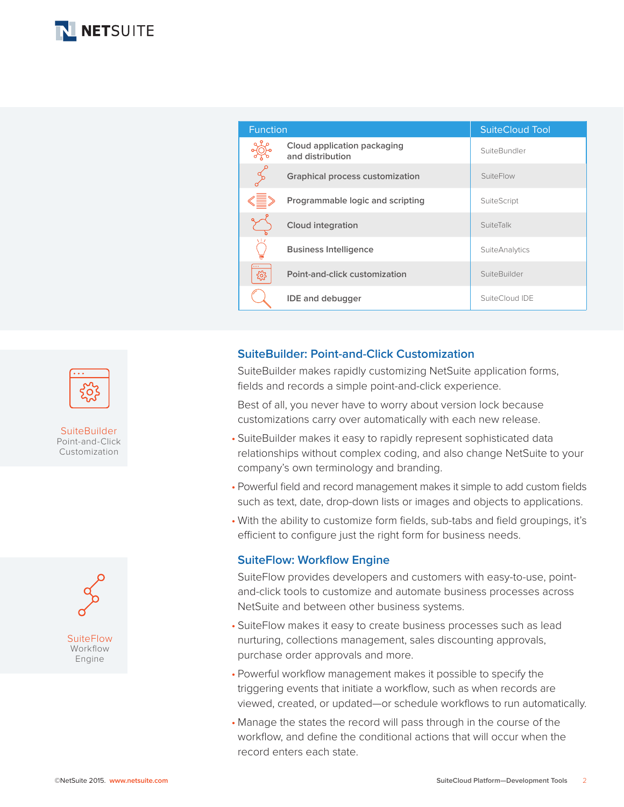

| <b>Function</b> |                                                 | <b>SuiteCloud Tool</b> |
|-----------------|-------------------------------------------------|------------------------|
|                 | Cloud application packaging<br>and distribution | SuiteBundler           |
| $\frac{d}{d}$   | <b>Graphical process customization</b>          | SuiteFlow              |
|                 | Programmable logic and scripting                | SuiteScript            |
|                 | Cloud integration                               | SuiteTalk              |
|                 | <b>Business Intelligence</b>                    | <b>SuiteAnalytics</b>  |
| ઌૢૺૺૺૺૺૺૺૺૺૺ    | Point-and-click customization                   | SuiteBuilder           |
|                 | <b>IDE</b> and debugger                         | SuiteCloud IDE         |

### **SuiteBuilder: Point-and-Click Customization**

SuiteBuilder makes rapidly customizing NetSuite application forms, fields and records a simple point-and-click experience.

Best of all, you never have to worry about version lock because customizations carry over automatically with each new release.

- SuiteBuilder makes it easy to rapidly represent sophisticated data relationships without complex coding, and also change NetSuite to your company's own terminology and branding.
- Powerful field and record management makes it simple to add custom fields such as text, date, drop-down lists or images and objects to applications.
- With the ability to customize form fields, sub-tabs and field groupings, it's efficient to configure just the right form for business needs.

#### **SuiteFlow: Workflow Engine**

SuiteFlow provides developers and customers with easy-to-use, pointand-click tools to customize and automate business processes across NetSuite and between other business systems.

- SuiteFlow makes it easy to create business processes such as lead nurturing, collections management, sales discounting approvals, purchase order approvals and more.
- Powerful workflow management makes it possible to specify the triggering events that initiate a workflow, such as when records are viewed, created, or updated—or schedule workflows to run automatically.
- Manage the states the record will pass through in the course of the workflow, and define the conditional actions that will occur when the record enters each state.



**SuiteBuilder** Point-and-Click Customization

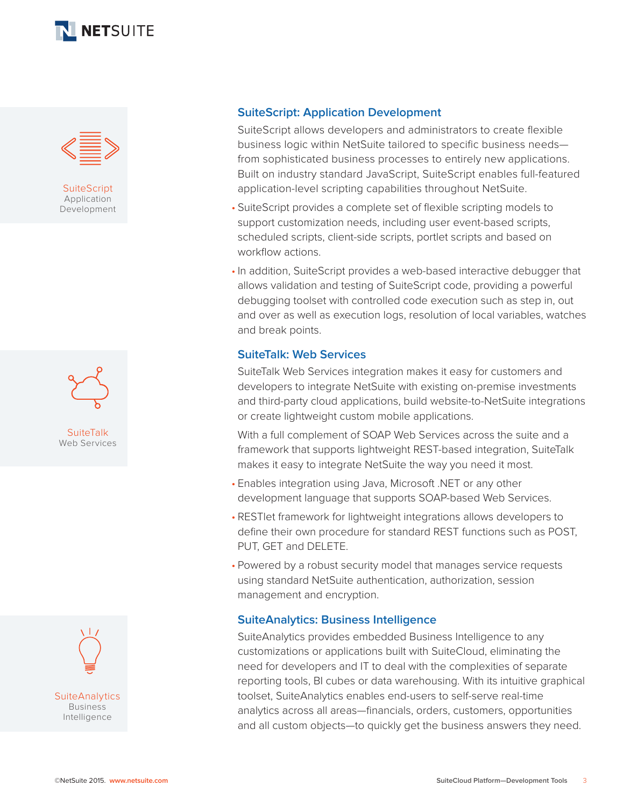



**SuiteScript** Application Development





## **SuiteScript: Application Development**

SuiteScript allows developers and administrators to create flexible business logic within NetSuite tailored to specific business needs from sophisticated business processes to entirely new applications. Built on industry standard JavaScript, SuiteScript enables full-featured application-level scripting capabilities throughout NetSuite.

- SuiteScript provides a complete set of flexible scripting models to support customization needs, including user event-based scripts, scheduled scripts, client-side scripts, portlet scripts and based on workflow actions.
- In addition, SuiteScript provides a web-based interactive debugger that allows validation and testing of SuiteScript code, providing a powerful debugging toolset with controlled code execution such as step in, out and over as well as execution logs, resolution of local variables, watches and break points.

#### **SuiteTalk: Web Services**

SuiteTalk Web Services integration makes it easy for customers and developers to integrate NetSuite with existing on-premise investments and third-party cloud applications, build website-to-NetSuite integrations or create lightweight custom mobile applications.

With a full complement of SOAP Web Services across the suite and a framework that supports lightweight REST-based integration, SuiteTalk makes it easy to integrate NetSuite the way you need it most.

- Enables integration using Java, Microsoft .NET or any other development language that supports SOAP-based Web Services.
- RESTlet framework for lightweight integrations allows developers to define their own procedure for standard REST functions such as POST, PUT, GET and DELETE.
- Powered by a robust security model that manages service requests using standard NetSuite authentication, authorization, session management and encryption.

#### **SuiteAnalytics: Business Intelligence**

SuiteAnalytics provides embedded Business Intelligence to any customizations or applications built with SuiteCloud, eliminating the need for developers and IT to deal with the complexities of separate reporting tools, BI cubes or data warehousing. With its intuitive graphical toolset, SuiteAnalytics enables end-users to self-serve real-time analytics across all areas—financials, orders, customers, opportunities and all custom objects—to quickly get the business answers they need.